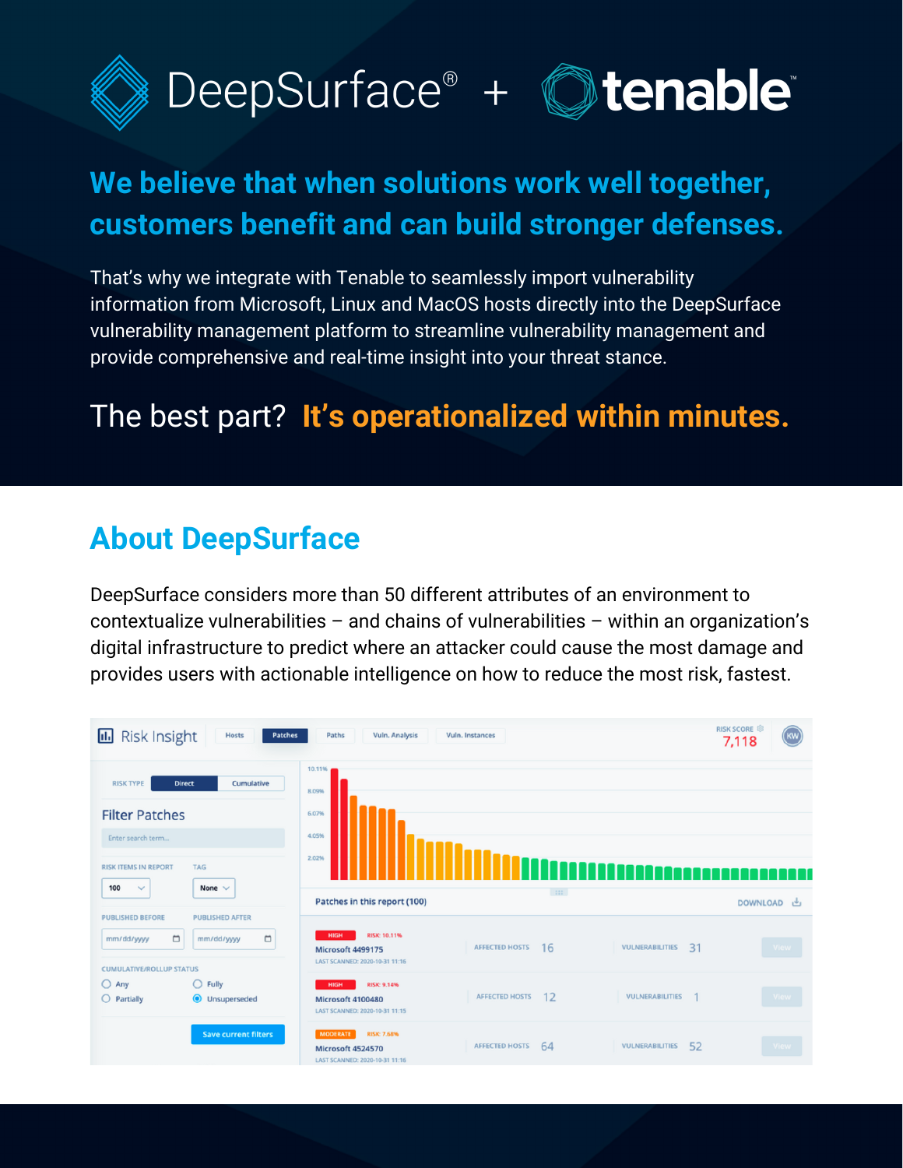



# **We believe that when solutions work well together, customers benefit and can build stronger defenses.**

That's why we integrate with Tenable to seamlessly import vulnerability information from Microsoft, Linux and MacOS hosts directly into the DeepSurface vulnerability management platform to streamline vulnerability management and provide comprehensive and real-time insight into your threat stance.

# The best part? **It's operationalized within minutes.**

## **About DeepSurface**

DeepSurface considers more than 50 different attributes of an environment to contextualize vulnerabilities – and chains of vulnerabilities – within an organization's digital infrastructure to predict where an attacker could cause the most damage and provides users with actionable intelligence on how to reduce the most risk, fastest.

| <b>Risk Insight</b><br>u.,<br><b>Hosts</b><br>Patches<br>Paths<br>Vuln. Analysis<br>Vuln. Instances |                                                |                                                                                              |                              |                       |            |  |  |
|-----------------------------------------------------------------------------------------------------|------------------------------------------------|----------------------------------------------------------------------------------------------|------------------------------|-----------------------|------------|--|--|
| <b>RISK TYPE</b><br><b>Filter Patches</b><br>Enter search term<br><b>RISK ITEMS IN REPORT</b>       | Cumulative<br><b>Direct</b><br><b>TAG</b>      | 10.11%<br>8.09%<br>6.07%<br>4.05%<br>2.02%                                                   |                              |                       | e e d      |  |  |
| 100<br>$\checkmark$                                                                                 | None $\vee$                                    | Patches in this report (100)                                                                 | $\left  \cdot \right\rangle$ |                       | DOWNLOAD 也 |  |  |
| <b>PUBLISHED BEFORE</b><br>$\Box$<br>mm/dd/yyyy<br><b>CUMULATIVE/ROLLUP STATUS</b>                  | <b>PUBLISHED AFTER</b><br>$\Box$<br>mm/dd/yyyy | RISK: 10.11%<br><b>HIGH</b><br>Microsoft 4499175<br>LAST SCANNED: 2020-10-31 11:16           | <b>AFFECTED HOSTS</b><br>16  | 31<br>VULNERABILITIES | View       |  |  |
| $O$ Any<br>$O$ Partially                                                                            | $\bigcirc$ Fully<br><b>O</b> Unsuperseded      | RISK: 9.14%<br><b>HIGH</b><br>Microsoft 4100480<br>LAST SCANNED: 2020-10-31 11:15            | 12<br><b>AFFECTED HOSTS</b>  | VULNERABILITIES       | View       |  |  |
|                                                                                                     | <b>Save current filters</b>                    | <b>RISK: 7.68%</b><br><b>MODERATE</b><br>Microsoft 4524570<br>LAST SCANNED: 2020-10-31 11:16 | <b>AFFECTED HOSTS</b><br>64  | 52<br>VULNERABILITIES |            |  |  |